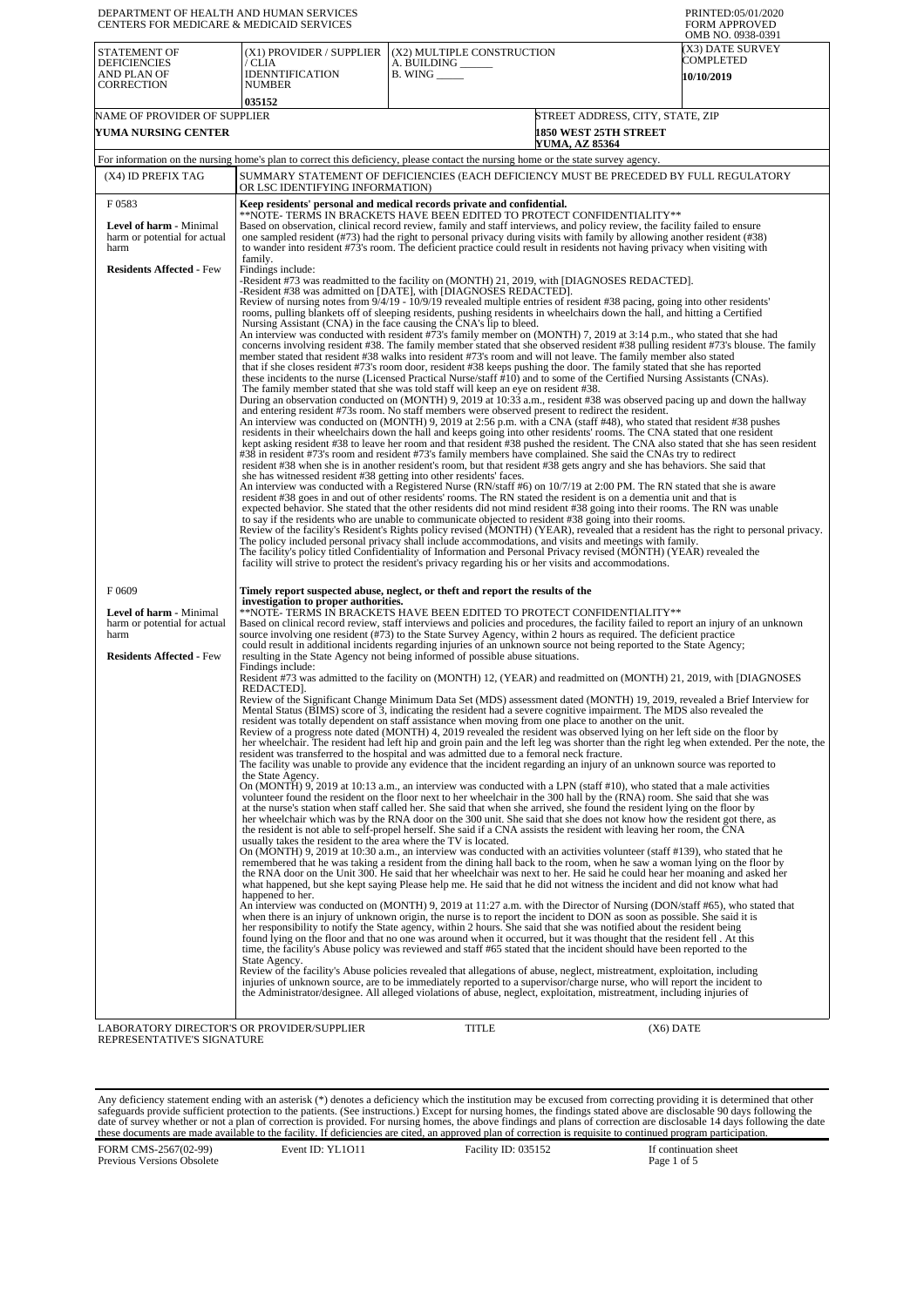| DEPARTMENT OF HEALTH AND HUMAN SERVICES<br>CENTERS FOR MEDICARE & MEDICAID SERVICES                         |                                                                                                                        |                                                                                                                                                                                                                                                                                                                                                                                                                                                                                                                                                                                                                                                                                                                                                                                                                                                                                                                                                                                                                                                                                                                                                                                                                                                                                                                                                                                                                                                                                                                                                                                                                                                                                                                                                                                                                                                                                                                                                                                                                                                                                                                                                                                                                                                                                                                                                                                                                                                                                                                                                                                                                                                                                                                                                                                                                                                                                                                                                                                                                                                                                                              | PRINTED:05/01/2020<br><b>FORM APPROVED</b><br>OMB NO. 0938-0391 |
|-------------------------------------------------------------------------------------------------------------|------------------------------------------------------------------------------------------------------------------------|--------------------------------------------------------------------------------------------------------------------------------------------------------------------------------------------------------------------------------------------------------------------------------------------------------------------------------------------------------------------------------------------------------------------------------------------------------------------------------------------------------------------------------------------------------------------------------------------------------------------------------------------------------------------------------------------------------------------------------------------------------------------------------------------------------------------------------------------------------------------------------------------------------------------------------------------------------------------------------------------------------------------------------------------------------------------------------------------------------------------------------------------------------------------------------------------------------------------------------------------------------------------------------------------------------------------------------------------------------------------------------------------------------------------------------------------------------------------------------------------------------------------------------------------------------------------------------------------------------------------------------------------------------------------------------------------------------------------------------------------------------------------------------------------------------------------------------------------------------------------------------------------------------------------------------------------------------------------------------------------------------------------------------------------------------------------------------------------------------------------------------------------------------------------------------------------------------------------------------------------------------------------------------------------------------------------------------------------------------------------------------------------------------------------------------------------------------------------------------------------------------------------------------------------------------------------------------------------------------------------------------------------------------------------------------------------------------------------------------------------------------------------------------------------------------------------------------------------------------------------------------------------------------------------------------------------------------------------------------------------------------------------------------------------------------------------------------------------------------------|-----------------------------------------------------------------|
| <b>STATEMENT OF</b><br><b>DEFICIENCIES</b><br>AND PLAN OF<br><b>CORRECTION</b>                              | (X1) PROVIDER / SUPPLIER<br>/ CLIA<br><b>IDENNTIFICATION</b><br><b>NUMBER</b><br>035152                                | (X2) MULTIPLE CONSTRUCTION<br>A. BUILDING ______<br>$B.$ WING $\_\_\_\_\_\_\_\$                                                                                                                                                                                                                                                                                                                                                                                                                                                                                                                                                                                                                                                                                                                                                                                                                                                                                                                                                                                                                                                                                                                                                                                                                                                                                                                                                                                                                                                                                                                                                                                                                                                                                                                                                                                                                                                                                                                                                                                                                                                                                                                                                                                                                                                                                                                                                                                                                                                                                                                                                                                                                                                                                                                                                                                                                                                                                                                                                                                                                              | (X3) DATE SURVEY<br>COMPLETED<br>10/10/2019                     |
| NAME OF PROVIDER OF SUPPLIER                                                                                |                                                                                                                        |                                                                                                                                                                                                                                                                                                                                                                                                                                                                                                                                                                                                                                                                                                                                                                                                                                                                                                                                                                                                                                                                                                                                                                                                                                                                                                                                                                                                                                                                                                                                                                                                                                                                                                                                                                                                                                                                                                                                                                                                                                                                                                                                                                                                                                                                                                                                                                                                                                                                                                                                                                                                                                                                                                                                                                                                                                                                                                                                                                                                                                                                                                              | STREET ADDRESS, CITY, STATE, ZIP                                |
| YUMA NURSING CENTER                                                                                         |                                                                                                                        | <b>1850 WEST 25TH STREET</b><br>YUMA, AZ 85364                                                                                                                                                                                                                                                                                                                                                                                                                                                                                                                                                                                                                                                                                                                                                                                                                                                                                                                                                                                                                                                                                                                                                                                                                                                                                                                                                                                                                                                                                                                                                                                                                                                                                                                                                                                                                                                                                                                                                                                                                                                                                                                                                                                                                                                                                                                                                                                                                                                                                                                                                                                                                                                                                                                                                                                                                                                                                                                                                                                                                                                               |                                                                 |
|                                                                                                             |                                                                                                                        | For information on the nursing home's plan to correct this deficiency, please contact the nursing home or the state survey agency.                                                                                                                                                                                                                                                                                                                                                                                                                                                                                                                                                                                                                                                                                                                                                                                                                                                                                                                                                                                                                                                                                                                                                                                                                                                                                                                                                                                                                                                                                                                                                                                                                                                                                                                                                                                                                                                                                                                                                                                                                                                                                                                                                                                                                                                                                                                                                                                                                                                                                                                                                                                                                                                                                                                                                                                                                                                                                                                                                                           |                                                                 |
| (X4) ID PREFIX TAG                                                                                          | OR LSC IDENTIFYING INFORMATION)                                                                                        | SUMMARY STATEMENT OF DEFICIENCIES (EACH DEFICIENCY MUST BE PRECEDED BY FULL REGULATORY                                                                                                                                                                                                                                                                                                                                                                                                                                                                                                                                                                                                                                                                                                                                                                                                                                                                                                                                                                                                                                                                                                                                                                                                                                                                                                                                                                                                                                                                                                                                                                                                                                                                                                                                                                                                                                                                                                                                                                                                                                                                                                                                                                                                                                                                                                                                                                                                                                                                                                                                                                                                                                                                                                                                                                                                                                                                                                                                                                                                                       |                                                                 |
| F0583                                                                                                       |                                                                                                                        | Keep residents' personal and medical records private and confidential.<br>**NOTE- TERMS IN BRACKETS HAVE BEEN EDITED TO PROTECT CONFIDENTIALITY**                                                                                                                                                                                                                                                                                                                                                                                                                                                                                                                                                                                                                                                                                                                                                                                                                                                                                                                                                                                                                                                                                                                                                                                                                                                                                                                                                                                                                                                                                                                                                                                                                                                                                                                                                                                                                                                                                                                                                                                                                                                                                                                                                                                                                                                                                                                                                                                                                                                                                                                                                                                                                                                                                                                                                                                                                                                                                                                                                            |                                                                 |
| Level of harm - Minimal<br>harm or potential for actual<br>harm                                             | family.                                                                                                                | Based on observation, clinical record review, family and staff interviews, and policy review, the facility failed to ensure<br>one sampled resident (#73) had the right to personal privacy during visits with family by allowing another resident (#38)<br>to wander into resident #73's room. The deficient practice could result in residents not having privacy when visiting with                                                                                                                                                                                                                                                                                                                                                                                                                                                                                                                                                                                                                                                                                                                                                                                                                                                                                                                                                                                                                                                                                                                                                                                                                                                                                                                                                                                                                                                                                                                                                                                                                                                                                                                                                                                                                                                                                                                                                                                                                                                                                                                                                                                                                                                                                                                                                                                                                                                                                                                                                                                                                                                                                                                       |                                                                 |
| <b>Residents Affected - Few</b>                                                                             | Findings include:<br>she has witnessed resident #38 getting into other residents' faces.                               | -Resident #73 was readmitted to the facility on (MONTH) 21, 2019, with [DIAGNOSES REDACTED].<br>-Resident #38 was admitted on [DATE], with [DIAGNOSES REDACTED].<br>Review of nursing notes from 9/4/19 - 10/9/19 revealed multiple entries of resident #38 pacing, going into other residents'<br>rooms, pulling blankets off of sleeping residents, pushing residents in wheelchairs down the hall, and hitting a Certified<br>Nursing Assistant (CNA) in the face causing the CNA's lip to bleed.<br>An interview was conducted with resident #73's family member on (MONTH) 7, 2019 at 3:14 p.m., who stated that she had<br>concerns involving resident #38. The family member stated that she observed resident #38 pulling resident #73's blouse. The family<br>member stated that resident #38 walks into resident #73's room and will not leave. The family member also stated<br>that if she closes resident #73's room door, resident #38 keeps pushing the door. The family stated that she has reported<br>these incidents to the nurse (Licensed Practical Nurse/staff #10) and to some of the Certified Nursing Assistants (CNAs).<br>The family member stated that she was told staff will keep an eye on resident #38.<br>During an observation conducted on (MONTH) 9, 2019 at 10:33 a.m., resident #38 was observed pacing up and down the hallway<br>and entering resident #73s room. No staff members were observed present to redirect the resident.<br>An interview was conducted on (MONTH) 9, 2019 at 2:56 p.m. with a CNA (staff #48), who stated that resident #38 pushes<br>residents in their wheelchairs down the hall and keeps going into other residents' rooms. The CNA stated that one resident<br>kept asking resident #38 to leave her room and that resident #38 pushed the resident. The CNA also stated that she has seen resident<br>#38 in resident #73's room and resident #73's family members have complained. She said the CNAs try to redirect<br>resident #38 when she is in another resident's room, but that resident #38 gets angry and she has behaviors. She said that<br>An interview was conducted with a Registered Nurse (RN/staff #6) on 10/7/19 at 2:00 PM. The RN stated that she is aware<br>resident #38 goes in and out of other residents' rooms. The RN stated the resident is on a dementia unit and that is<br>expected behavior. She stated that the other residents did not mind resident #38 going into their rooms. The RN was unable<br>to say if the residents who are unable to communicate objected to resident #38 going into their rooms.<br>Review of the facility's Resident's Rights policy revised (MONTH) (YEAR), revealed that a resident has the right to personal privacy.<br>The policy included personal privacy shall include accommodations, and visits and meetings with family.<br>The facility's policy titled Confidentiality of Information and Personal Privacy revised (MONTH) (YEAR) revealed the<br>facility will strive to protect the resident's privacy regarding his or her visits and accommodations. |                                                                 |
| F0609<br>Level of harm - Minimal<br>harm or potential for actual<br>harm<br><b>Residents Affected - Few</b> | investigation to proper authorities.<br>Findings include:                                                              | Timely report suspected abuse, neglect, or theft and report the results of the<br>**NOTE- TERMS IN BRACKETS HAVE BEEN EDITED TO PROTECT CONFIDENTIALITY**<br>Based on clinical record review, staff interviews and policies and procedures, the facility failed to report an injury of an unknown<br>source involving one resident (#73) to the State Survey Agency, within 2 hours as required. The deficient practice<br>could result in additional incidents regarding injuries of an unknown source not being reported to the State Agency;<br>resulting in the State Agency not being informed of possible abuse situations.                                                                                                                                                                                                                                                                                                                                                                                                                                                                                                                                                                                                                                                                                                                                                                                                                                                                                                                                                                                                                                                                                                                                                                                                                                                                                                                                                                                                                                                                                                                                                                                                                                                                                                                                                                                                                                                                                                                                                                                                                                                                                                                                                                                                                                                                                                                                                                                                                                                                            |                                                                 |
|                                                                                                             | REDACTED].<br>the State Agency.<br>usually takes the resident to the area where the TV is located.<br>happened to her. | Resident #73 was admitted to the facility on (MONTH) 12, (YEAR) and readmitted on (MONTH) 21, 2019, with [DIAGNOSES<br>Review of the Significant Change Minimum Data Set (MDS) assessment dated (MONTH) 19, 2019, revealed a Brief Interview for<br>Mental Status (BIMS) score of 3, indicating the resident had a severe cognitive impairment. The MDS also revealed the<br>resident was totally dependent on staff assistance when moving from one place to another on the unit.<br>Review of a progress note dated (MONTH) 4, 2019 revealed the resident was observed lying on her left side on the floor by<br>her wheelchair. The resident had left hip and groin pain and the left leg was shorter than the right leg when extended. Per the note, the<br>resident was transferred to the hospital and was admitted due to a femoral neck fracture.<br>The facility was unable to provide any evidence that the incident regarding an injury of an unknown source was reported to<br>On (MONTH) 9, 2019 at 10:13 a.m., an interview was conducted with a LPN (staff $#10$ ), who stated that a male activities<br>volunteer found the resident on the floor next to her wheelchair in the 300 hall by the (RNA) room. She said that she was<br>at the nurse's station when staff called her. She said that when she arrived, she found the resident lying on the floor by<br>her wheelchair which was by the RNA door on the 300 unit. She said that she does not know how the resident got there, as<br>the resident is not able to self-propel herself. She said if a CNA assists the resident with leaving her room, the CNA<br>On (MONTH) 9, 2019 at 10:30 a.m., an interview was conducted with an activities volunteer (staff #139), who stated that he<br>remembered that he was taking a resident from the dining hall back to the room, when he saw a woman lying on the floor by<br>the RNA door on the Unit 300. He said that her wheelchair was next to her. He said he could hear her moaning and asked her<br>what happened, but she kept saying Please help me. He said that he did not witness the incident and did not know what had<br>An interview was conducted on (MONTH) 9, 2019 at 11:27 a.m. with the Director of Nursing (DON/staff #65), who stated that                                                                                                                                                                                                                                                                                                                                                                                                                                                                                                                                                                                                                                                                                                                                                                                                                     |                                                                 |
|                                                                                                             | State Agency.                                                                                                          | when there is an injury of unknown origin, the nurse is to report the incident to DON as soon as possible. She said it is<br>her responsibility to notify the State agency, within 2 hours. She said that she was notified about the resident being<br>found lying on the floor and that no one was around when it occurred, but it was thought that the resident fell. At this<br>time, the facility's Abuse policy was reviewed and staff #65 stated that the incident should have been reported to the<br>Review of the facility's Abuse policies revealed that allegations of abuse, neglect, mistreatment, exploitation, including<br>injuries of unknown source, are to be immediately reported to a supervisor/charge nurse, who will report the incident to<br>the Administrator/designee. All alleged violations of abuse, neglect, exploitation, mistreatment, including injuries of                                                                                                                                                                                                                                                                                                                                                                                                                                                                                                                                                                                                                                                                                                                                                                                                                                                                                                                                                                                                                                                                                                                                                                                                                                                                                                                                                                                                                                                                                                                                                                                                                                                                                                                                                                                                                                                                                                                                                                                                                                                                                                                                                                                                               |                                                                 |
| LABORATORY DIRECTOR'S OR PROVIDER/SUPPLIER<br>REPRESENTATIVE'S SIGNATURE                                    |                                                                                                                        | TITLE                                                                                                                                                                                                                                                                                                                                                                                                                                                                                                                                                                                                                                                                                                                                                                                                                                                                                                                                                                                                                                                                                                                                                                                                                                                                                                                                                                                                                                                                                                                                                                                                                                                                                                                                                                                                                                                                                                                                                                                                                                                                                                                                                                                                                                                                                                                                                                                                                                                                                                                                                                                                                                                                                                                                                                                                                                                                                                                                                                                                                                                                                                        | (X6) DATE                                                       |

Any deficiency statement ending with an asterisk (\*) denotes a deficiency which the institution may be excused from correcting providing it is determined that other safeguards provide sufficient protection to the patients.

FORM CMS-2567(02-99) Previous Versions Obsolete

Event ID: YL1O11 Facility ID: 035152 If continuation sheet<br>Page 1 of 5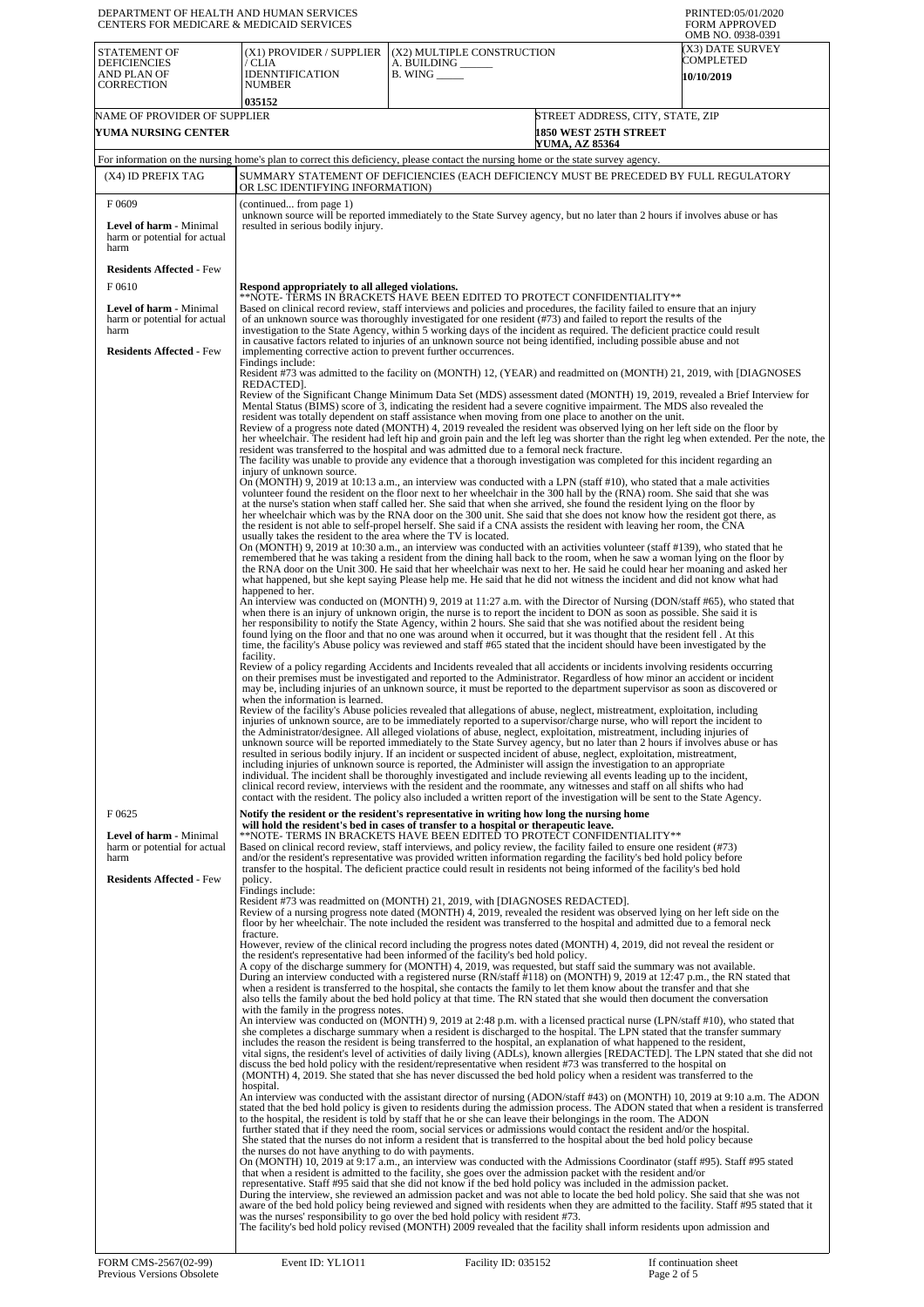| DEPARTMENT OF HEALTH AND HUMAN SERVICES<br><b>CENTERS FOR MEDICARE &amp; MEDICAID SERVICES</b>              |                                                                                                                                                                                                                                                                                                                                                                                                                                                                                                                                                                                                                                                                                                                                                                                                                                                                                                                                                                                                                                                                                                                                                                                                                                                                                                                                                                                                                                                                                                                                                                                                                                                                                                                  |                                                                                                                                                                                                                                                                                                                                                                                                                                                                                                                                                                                                                                                                                                                                                                                                                                                                                                                                                                                                                                                                                                                                                                                                                                                                                                                                                                                                                                                                                                                                                                                                                                                                                                                                                                                                                                                                                                                                                                                                                                                                                                                                                                                                                                                                                                                                                                                                                                                                                                                                                                                                                                                                                                                                                                                                                                                                                                                                                                                                                                                                                                                                                                                                                                                                                                                                                                                                                                                                                                                                                                                                                                                                                                                                                                                                                      | PRINTED:05/01/2020<br><b>FORM APPROVED</b><br>OMB NO. 0938-0391                                                                           |  |
|-------------------------------------------------------------------------------------------------------------|------------------------------------------------------------------------------------------------------------------------------------------------------------------------------------------------------------------------------------------------------------------------------------------------------------------------------------------------------------------------------------------------------------------------------------------------------------------------------------------------------------------------------------------------------------------------------------------------------------------------------------------------------------------------------------------------------------------------------------------------------------------------------------------------------------------------------------------------------------------------------------------------------------------------------------------------------------------------------------------------------------------------------------------------------------------------------------------------------------------------------------------------------------------------------------------------------------------------------------------------------------------------------------------------------------------------------------------------------------------------------------------------------------------------------------------------------------------------------------------------------------------------------------------------------------------------------------------------------------------------------------------------------------------------------------------------------------------|----------------------------------------------------------------------------------------------------------------------------------------------------------------------------------------------------------------------------------------------------------------------------------------------------------------------------------------------------------------------------------------------------------------------------------------------------------------------------------------------------------------------------------------------------------------------------------------------------------------------------------------------------------------------------------------------------------------------------------------------------------------------------------------------------------------------------------------------------------------------------------------------------------------------------------------------------------------------------------------------------------------------------------------------------------------------------------------------------------------------------------------------------------------------------------------------------------------------------------------------------------------------------------------------------------------------------------------------------------------------------------------------------------------------------------------------------------------------------------------------------------------------------------------------------------------------------------------------------------------------------------------------------------------------------------------------------------------------------------------------------------------------------------------------------------------------------------------------------------------------------------------------------------------------------------------------------------------------------------------------------------------------------------------------------------------------------------------------------------------------------------------------------------------------------------------------------------------------------------------------------------------------------------------------------------------------------------------------------------------------------------------------------------------------------------------------------------------------------------------------------------------------------------------------------------------------------------------------------------------------------------------------------------------------------------------------------------------------------------------------------------------------------------------------------------------------------------------------------------------------------------------------------------------------------------------------------------------------------------------------------------------------------------------------------------------------------------------------------------------------------------------------------------------------------------------------------------------------------------------------------------------------------------------------------------------------------------------------------------------------------------------------------------------------------------------------------------------------------------------------------------------------------------------------------------------------------------------------------------------------------------------------------------------------------------------------------------------------------------------------------------------------------------------------------------------------|-------------------------------------------------------------------------------------------------------------------------------------------|--|
| <b>STATEMENT OF</b><br><b>DEFICIENCIES</b><br>AND PLAN OF<br><b>CORRECTION</b>                              | (X1) PROVIDER / SUPPLIER<br>/ CLIA<br><b>IDENNTIFICATION</b><br><b>NUMBER</b><br>035152                                                                                                                                                                                                                                                                                                                                                                                                                                                                                                                                                                                                                                                                                                                                                                                                                                                                                                                                                                                                                                                                                                                                                                                                                                                                                                                                                                                                                                                                                                                                                                                                                          | (X2) MULTIPLE CONSTRUCTION<br>A. BUILDING<br><b>B. WING</b>                                                                                                                                                                                                                                                                                                                                                                                                                                                                                                                                                                                                                                                                                                                                                                                                                                                                                                                                                                                                                                                                                                                                                                                                                                                                                                                                                                                                                                                                                                                                                                                                                                                                                                                                                                                                                                                                                                                                                                                                                                                                                                                                                                                                                                                                                                                                                                                                                                                                                                                                                                                                                                                                                                                                                                                                                                                                                                                                                                                                                                                                                                                                                                                                                                                                                                                                                                                                                                                                                                                                                                                                                                                                                                                                                          | (X3) DATE SURVEY<br>COMPLETED<br><b>10/10/2019</b>                                                                                        |  |
| YUMA NURSING CENTER                                                                                         | NAME OF PROVIDER OF SUPPLIER<br>STREET ADDRESS, CITY, STATE, ZIP<br><b>1850 WEST 25TH STREET</b>                                                                                                                                                                                                                                                                                                                                                                                                                                                                                                                                                                                                                                                                                                                                                                                                                                                                                                                                                                                                                                                                                                                                                                                                                                                                                                                                                                                                                                                                                                                                                                                                                 |                                                                                                                                                                                                                                                                                                                                                                                                                                                                                                                                                                                                                                                                                                                                                                                                                                                                                                                                                                                                                                                                                                                                                                                                                                                                                                                                                                                                                                                                                                                                                                                                                                                                                                                                                                                                                                                                                                                                                                                                                                                                                                                                                                                                                                                                                                                                                                                                                                                                                                                                                                                                                                                                                                                                                                                                                                                                                                                                                                                                                                                                                                                                                                                                                                                                                                                                                                                                                                                                                                                                                                                                                                                                                                                                                                                                                      |                                                                                                                                           |  |
|                                                                                                             |                                                                                                                                                                                                                                                                                                                                                                                                                                                                                                                                                                                                                                                                                                                                                                                                                                                                                                                                                                                                                                                                                                                                                                                                                                                                                                                                                                                                                                                                                                                                                                                                                                                                                                                  | YUMA, AZ 85364<br>For information on the nursing home's plan to correct this deficiency, please contact the nursing home or the state survey agency.                                                                                                                                                                                                                                                                                                                                                                                                                                                                                                                                                                                                                                                                                                                                                                                                                                                                                                                                                                                                                                                                                                                                                                                                                                                                                                                                                                                                                                                                                                                                                                                                                                                                                                                                                                                                                                                                                                                                                                                                                                                                                                                                                                                                                                                                                                                                                                                                                                                                                                                                                                                                                                                                                                                                                                                                                                                                                                                                                                                                                                                                                                                                                                                                                                                                                                                                                                                                                                                                                                                                                                                                                                                                 |                                                                                                                                           |  |
| (X4) ID PREFIX TAG                                                                                          |                                                                                                                                                                                                                                                                                                                                                                                                                                                                                                                                                                                                                                                                                                                                                                                                                                                                                                                                                                                                                                                                                                                                                                                                                                                                                                                                                                                                                                                                                                                                                                                                                                                                                                                  | SUMMARY STATEMENT OF DEFICIENCIES (EACH DEFICIENCY MUST BE PRECEDED BY FULL REGULATORY                                                                                                                                                                                                                                                                                                                                                                                                                                                                                                                                                                                                                                                                                                                                                                                                                                                                                                                                                                                                                                                                                                                                                                                                                                                                                                                                                                                                                                                                                                                                                                                                                                                                                                                                                                                                                                                                                                                                                                                                                                                                                                                                                                                                                                                                                                                                                                                                                                                                                                                                                                                                                                                                                                                                                                                                                                                                                                                                                                                                                                                                                                                                                                                                                                                                                                                                                                                                                                                                                                                                                                                                                                                                                                                               |                                                                                                                                           |  |
|                                                                                                             | OR LSC IDENTIFYING INFORMATION)                                                                                                                                                                                                                                                                                                                                                                                                                                                                                                                                                                                                                                                                                                                                                                                                                                                                                                                                                                                                                                                                                                                                                                                                                                                                                                                                                                                                                                                                                                                                                                                                                                                                                  |                                                                                                                                                                                                                                                                                                                                                                                                                                                                                                                                                                                                                                                                                                                                                                                                                                                                                                                                                                                                                                                                                                                                                                                                                                                                                                                                                                                                                                                                                                                                                                                                                                                                                                                                                                                                                                                                                                                                                                                                                                                                                                                                                                                                                                                                                                                                                                                                                                                                                                                                                                                                                                                                                                                                                                                                                                                                                                                                                                                                                                                                                                                                                                                                                                                                                                                                                                                                                                                                                                                                                                                                                                                                                                                                                                                                                      |                                                                                                                                           |  |
| F0609<br>Level of harm - Minimal<br>harm or potential for actual<br>harm                                    | (continued from page 1)<br>resulted in serious bodily injury.                                                                                                                                                                                                                                                                                                                                                                                                                                                                                                                                                                                                                                                                                                                                                                                                                                                                                                                                                                                                                                                                                                                                                                                                                                                                                                                                                                                                                                                                                                                                                                                                                                                    | unknown source will be reported immediately to the State Survey agency, but no later than 2 hours if involves abuse or has                                                                                                                                                                                                                                                                                                                                                                                                                                                                                                                                                                                                                                                                                                                                                                                                                                                                                                                                                                                                                                                                                                                                                                                                                                                                                                                                                                                                                                                                                                                                                                                                                                                                                                                                                                                                                                                                                                                                                                                                                                                                                                                                                                                                                                                                                                                                                                                                                                                                                                                                                                                                                                                                                                                                                                                                                                                                                                                                                                                                                                                                                                                                                                                                                                                                                                                                                                                                                                                                                                                                                                                                                                                                                           |                                                                                                                                           |  |
| <b>Residents Affected - Few</b><br>F0610                                                                    | Respond appropriately to all alleged violations.                                                                                                                                                                                                                                                                                                                                                                                                                                                                                                                                                                                                                                                                                                                                                                                                                                                                                                                                                                                                                                                                                                                                                                                                                                                                                                                                                                                                                                                                                                                                                                                                                                                                 |                                                                                                                                                                                                                                                                                                                                                                                                                                                                                                                                                                                                                                                                                                                                                                                                                                                                                                                                                                                                                                                                                                                                                                                                                                                                                                                                                                                                                                                                                                                                                                                                                                                                                                                                                                                                                                                                                                                                                                                                                                                                                                                                                                                                                                                                                                                                                                                                                                                                                                                                                                                                                                                                                                                                                                                                                                                                                                                                                                                                                                                                                                                                                                                                                                                                                                                                                                                                                                                                                                                                                                                                                                                                                                                                                                                                                      |                                                                                                                                           |  |
| <b>Level of harm - Minimal</b><br>harm or potential for actual<br>harm                                      |                                                                                                                                                                                                                                                                                                                                                                                                                                                                                                                                                                                                                                                                                                                                                                                                                                                                                                                                                                                                                                                                                                                                                                                                                                                                                                                                                                                                                                                                                                                                                                                                                                                                                                                  | **NOTE- TĒRMS IN BRACKETS HAVE BEEN EDITED TO PROTECT CONFIDENTIALITY**<br>Based on clinical record review, staff interviews and policies and procedures, the facility failed to ensure that an injury<br>of an unknown source was thoroughly investigated for one resident (#73) and failed to report the results of the<br>investigation to the State Agency, within 5 working days of the incident as required. The deficient practice could result<br>in causative factors related to injuries of an unknown source not being identified, including possible abuse and not                                                                                                                                                                                                                                                                                                                                                                                                                                                                                                                                                                                                                                                                                                                                                                                                                                                                                                                                                                                                                                                                                                                                                                                                                                                                                                                                                                                                                                                                                                                                                                                                                                                                                                                                                                                                                                                                                                                                                                                                                                                                                                                                                                                                                                                                                                                                                                                                                                                                                                                                                                                                                                                                                                                                                                                                                                                                                                                                                                                                                                                                                                                                                                                                                                       |                                                                                                                                           |  |
| <b>Residents Affected - Few</b>                                                                             | implementing corrective action to prevent further occurrences.<br>Findings include:<br>REDACTEDI.<br>injury of unknown source.<br>usually takes the resident to the area where the TV is located.<br>happened to her.<br>facility.<br>when the information is learned.                                                                                                                                                                                                                                                                                                                                                                                                                                                                                                                                                                                                                                                                                                                                                                                                                                                                                                                                                                                                                                                                                                                                                                                                                                                                                                                                                                                                                                           | Resident #73 was admitted to the facility on (MONTH) 12, (YEAR) and readmitted on (MONTH) 21, 2019, with [DIAGNOSES<br>Review of the Significant Change Minimum Data Set (MDS) assessment dated (MONTH) 19, 2019, revealed a Brief Interview for<br>Mental Status (BIMS) score of 3, indicating the resident had a severe cognitive impairment. The MDS also revealed the<br>resident was totally dependent on staff assistance when moving from one place to another on the unit.<br>Review of a progress note dated (MONTH) 4, 2019 revealed the resident was observed lying on her left side on the floor by<br>resident was transferred to the hospital and was admitted due to a femoral neck fracture.<br>The facility was unable to provide any evidence that a thorough investigation was completed for this incident regarding an<br>On (MONTH) 9, 2019 at 10:13 a.m., an interview was conducted with a LPN (staff #10), who stated that a male activities<br>volunteer found the resident on the floor next to her wheelchair in the 300 hall by the (RNA) room. She said that she was<br>at the nurse's station when staff called her. She said that when she arrived, she found the resident lying on the floor by<br>her wheelchair which was by the RNA door on the 300 unit. She said that she does not know how the resident got there, as<br>the resident is not able to self-propel herself. She said if a CNA assists the resident with leaving her room, the CNA<br>On (MONTH) 9, 2019 at 10:30 a.m., an interview was conducted with an activities volunteer (staff #139), who stated that he<br>remembered that he was taking a resident from the dining hall back to the room, when he saw a woman lying on the floor by<br>the RNA door on the Unit 300. He said that her wheelchair was next to her. He said he could hear her moaning and asked her<br>what happened, but she kept saying Please help me. He said that he did not witness the incident and did not know what had<br>An interview was conducted on (MONTH) 9, 2019 at 11:27 a.m. with the Director of Nursing (DON/staff #65), who stated that<br>when there is an injury of unknown origin, the nurse is to report the incident to DON as soon as possible. She said it is<br>her responsibility to notify the State Agency, within 2 hours. She said that she was notified about the resident being<br>found lying on the floor and that no one was around when it occurred, but it was thought that the resident fell. At this<br>time, the facility's Abuse policy was reviewed and staff #65 stated that the incident should have been investigated by the<br>Review of a policy regarding Accidents and Incidents revealed that all accidents or incidents involving residents occurring<br>on their premises must be investigated and reported to the Administrator. Regardless of how minor an accident or incident<br>may be, including injuries of an unknown source, it must be reported to the department supervisor as soon as discovered or<br>Review of the facility's Abuse policies revealed that allegations of abuse, neglect, mistreatment, exploitation, including<br>injuries of unknown source, are to be immediately reported to a supervisor/charge nurse, who will report the incident to<br>the Administrator/designee. All alleged violations of abuse, neglect, exploitation, mistreatment, including injuries of<br>unknown source will be reported immediately to the State Survey agency, but no later than 2 hours if involves abuse or has<br>resulted in serious bodily injury. If an incident or suspected incident of abuse, neglect, exploitation, mistreatment,<br>including injuries of unknown source is reported, the Administer will assign the investigation to an appropriate | her wheelchair. The resident had left hip and groin pain and the left leg was shorter than the right leg when extended. Per the note, the |  |
| F0625<br>Level of harm - Minimal<br>harm or potential for actual<br>harm<br><b>Residents Affected - Few</b> | policy.<br>Findings include:<br>fracture.<br>with the family in the progress notes.                                                                                                                                                                                                                                                                                                                                                                                                                                                                                                                                                                                                                                                                                                                                                                                                                                                                                                                                                                                                                                                                                                                                                                                                                                                                                                                                                                                                                                                                                                                                                                                                                              | clinical record review, interviews with the resident and the roommate, any witnesses and staff on all shifts who had<br>contact with the resident. The policy also included a written report of the investigation will be sent to the State Agency.<br>Notify the resident or the resident's representative in writing how long the nursing home<br>will hold the resident's bed in cases of transfer to a hospital or therapeutic leave.<br>**NOTE- TERMS IN BRACKETS HAVE BEEN EDITED TO PROTECT CONFIDENTIALITY**<br>Based on clinical record review, staff interviews, and policy review, the facility failed to ensure one resident (#73)<br>and/or the resident's representative was provided written information regarding the facility's bed hold policy before<br>transfer to the hospital. The deficient practice could result in residents not being informed of the facility's bed hold<br>Resident #73 was readmitted on (MONTH) 21, 2019, with [DIAGNOSES REDACTED].<br>Review of a nursing progress note dated (MONTH) 4, 2019, revealed the resident was observed lying on her left side on the<br>floor by her wheelchair. The note included the resident was transferred to the hospital and admitted due to a femoral neck<br>However, review of the clinical record including the progress notes dated (MONTH) 4, 2019, did not reveal the resident or<br>the resident's representative had been informed of the facility's bed hold policy.<br>A copy of the discharge summery for (MONTH) 4, 2019, was requested, but staff said the summary was not available.<br>During an interview conducted with a registered nurse (RN/staff #118) on (MONTH) 9, 2019 at 12:47 p.m., the RN stated that<br>when a resident is transferred to the hospital, she contacts the family to let them know about the transfer and that she<br>also tells the family about the bed hold policy at that time. The RN stated that she would then document the conversation<br>An interview was conducted on (MONTH) 9, 2019 at 2:48 p.m. with a licensed practical nurse (LPN/staff #10), who stated that<br>she completes a discharge summary when a resident is discharged to the hospital. The LPN stated that the transfer summary<br>includes the reason the resident is being transferred to the hospital, an explanation of what happened to the resident,<br>vital signs, the resident's level of activities of daily living (ADLs), known allergies [REDACTED]. The LPN stated that she did not<br>discuss the bed hold policy with the resident/representative when resident #73 was transferred to the hospital on                                                                                                                                                                                                                                                                                                                                                                                                                                                                                                                                                                                                                                                                                                                                                                                                                                                                                                                                                                                                                                                                                                                                                                                      |                                                                                                                                           |  |
|                                                                                                             | (MONTH) 4, 2019. She stated that she has never discussed the bed hold policy when a resident was transferred to the<br>hospital.<br>An interview was conducted with the assistant director of nursing (ADON/staff #43) on (MONTH) 10, 2019 at 9:10 a.m. The ADON<br>stated that the bed hold policy is given to residents during the admission process. The ADON stated that when a resident is transferred<br>to the hospital, the resident is told by staff that he or she can leave their belongings in the room. The ADON<br>further stated that if they need the room, social services or admissions would contact the resident and/or the hospital.<br>She stated that the nurses do not inform a resident that is transferred to the hospital about the bed hold policy because<br>the nurses do not have anything to do with payments.<br>On (MONTH) 10, 2019 at 9:17 a.m., an interview was conducted with the Admissions Coordinator (staff #95). Staff #95 stated<br>that when a resident is admitted to the facility, she goes over the admission packet with the resident and/or<br>representative. Staff #95 said that she did not know if the bed hold policy was included in the admission packet.<br>During the interview, she reviewed an admission packet and was not able to locate the bed hold policy. She said that she was not<br>aware of the bed hold policy being reviewed and signed with residents when they are admitted to the facility. Staff #95 stated that it<br>was the nurses' responsibility to go over the bed hold policy with resident #73.<br>The facility's bed hold policy revised (MONTH) 2009 revealed that the facility shall inform residents upon admission and |                                                                                                                                                                                                                                                                                                                                                                                                                                                                                                                                                                                                                                                                                                                                                                                                                                                                                                                                                                                                                                                                                                                                                                                                                                                                                                                                                                                                                                                                                                                                                                                                                                                                                                                                                                                                                                                                                                                                                                                                                                                                                                                                                                                                                                                                                                                                                                                                                                                                                                                                                                                                                                                                                                                                                                                                                                                                                                                                                                                                                                                                                                                                                                                                                                                                                                                                                                                                                                                                                                                                                                                                                                                                                                                                                                                                                      |                                                                                                                                           |  |
| FORM CMS-2567(02-99)                                                                                        | Event ID: YL1011                                                                                                                                                                                                                                                                                                                                                                                                                                                                                                                                                                                                                                                                                                                                                                                                                                                                                                                                                                                                                                                                                                                                                                                                                                                                                                                                                                                                                                                                                                                                                                                                                                                                                                 | Facility ID: 035152                                                                                                                                                                                                                                                                                                                                                                                                                                                                                                                                                                                                                                                                                                                                                                                                                                                                                                                                                                                                                                                                                                                                                                                                                                                                                                                                                                                                                                                                                                                                                                                                                                                                                                                                                                                                                                                                                                                                                                                                                                                                                                                                                                                                                                                                                                                                                                                                                                                                                                                                                                                                                                                                                                                                                                                                                                                                                                                                                                                                                                                                                                                                                                                                                                                                                                                                                                                                                                                                                                                                                                                                                                                                                                                                                                                                  | If continuation sheet                                                                                                                     |  |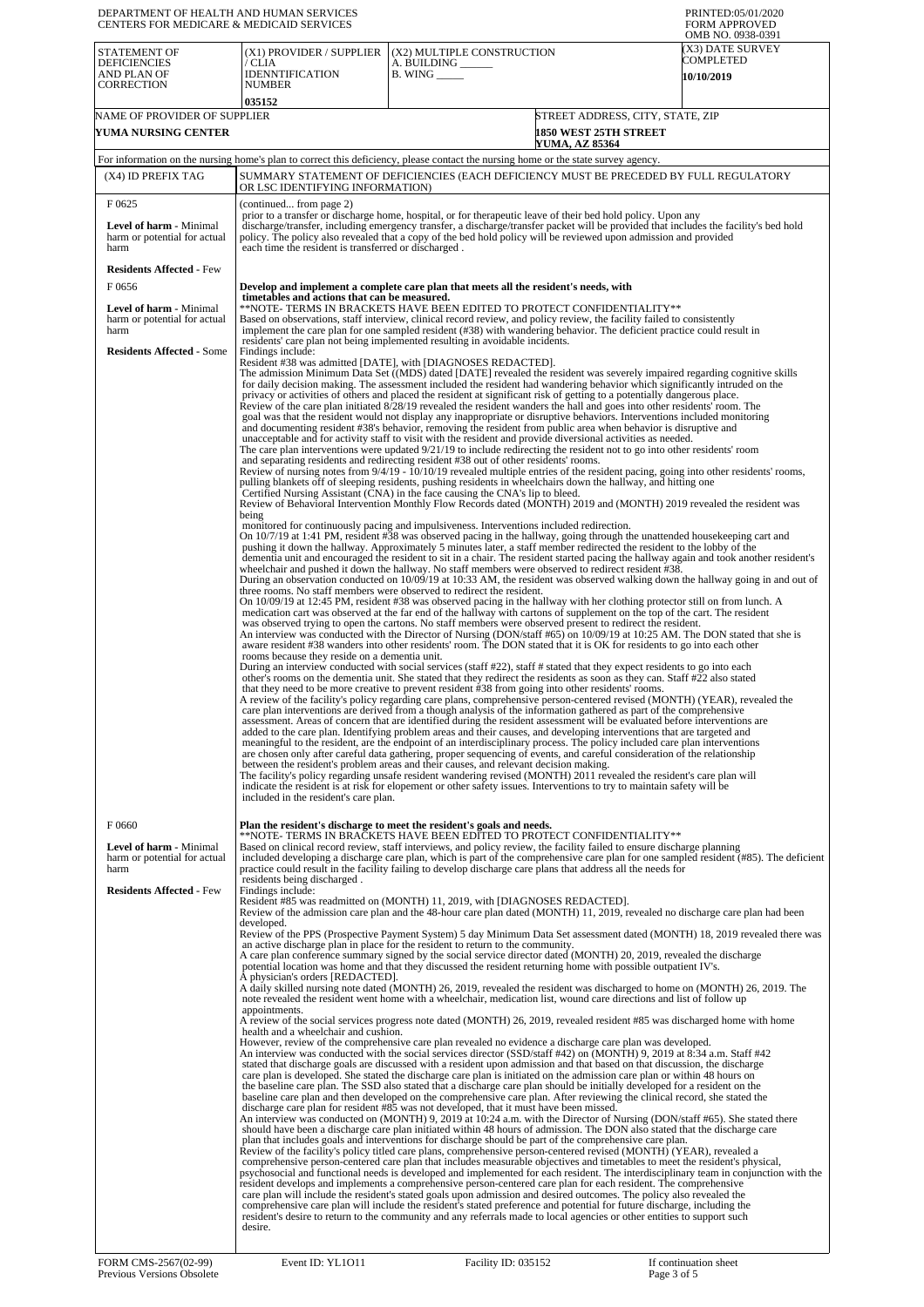| DEPARTMENT OF HEALTH AND HUMAN SERVICES<br><b>CENTERS FOR MEDICARE &amp; MEDICAID SERVICES</b>      |                                                                                                                                                                                                                                                                                                                                                                                                                                                                                                                                                                                                                                                                                                                                                                                                                                                                                                                                                                                                                                                                                                                                                                                                                                                                                                                                                                                                                                                                                                                                                                                                                                                                                                                                                                                                                                                                                                                                                                                                                                                                                                                                                                                                                                                                                                                                                                                                                                                                                                                                                                                                                                                                                                                                                                                                                                                                                                                                                                                                                                                                                                                                                                                                                                                                                                                                                                                                                                                                                                                                                                                                                                                                                                                                                                                                                                                                                                                                                                                                                                                                                                                                                                                                                                                                                                                                                                                                                                                                                                                                                                                                                                                                                                                                                                                                                                                                             |                                                                                                                                                                                                                                                                                                                                                                                                                                                                                                                               | PRINTED:05/01/2020<br><b>FORM APPROVED</b><br>OMB NO. 0938-0391                                                                       |
|-----------------------------------------------------------------------------------------------------|-----------------------------------------------------------------------------------------------------------------------------------------------------------------------------------------------------------------------------------------------------------------------------------------------------------------------------------------------------------------------------------------------------------------------------------------------------------------------------------------------------------------------------------------------------------------------------------------------------------------------------------------------------------------------------------------------------------------------------------------------------------------------------------------------------------------------------------------------------------------------------------------------------------------------------------------------------------------------------------------------------------------------------------------------------------------------------------------------------------------------------------------------------------------------------------------------------------------------------------------------------------------------------------------------------------------------------------------------------------------------------------------------------------------------------------------------------------------------------------------------------------------------------------------------------------------------------------------------------------------------------------------------------------------------------------------------------------------------------------------------------------------------------------------------------------------------------------------------------------------------------------------------------------------------------------------------------------------------------------------------------------------------------------------------------------------------------------------------------------------------------------------------------------------------------------------------------------------------------------------------------------------------------------------------------------------------------------------------------------------------------------------------------------------------------------------------------------------------------------------------------------------------------------------------------------------------------------------------------------------------------------------------------------------------------------------------------------------------------------------------------------------------------------------------------------------------------------------------------------------------------------------------------------------------------------------------------------------------------------------------------------------------------------------------------------------------------------------------------------------------------------------------------------------------------------------------------------------------------------------------------------------------------------------------------------------------------------------------------------------------------------------------------------------------------------------------------------------------------------------------------------------------------------------------------------------------------------------------------------------------------------------------------------------------------------------------------------------------------------------------------------------------------------------------------------------------------------------------------------------------------------------------------------------------------------------------------------------------------------------------------------------------------------------------------------------------------------------------------------------------------------------------------------------------------------------------------------------------------------------------------------------------------------------------------------------------------------------------------------------------------------------------------------------------------------------------------------------------------------------------------------------------------------------------------------------------------------------------------------------------------------------------------------------------------------------------------------------------------------------------------------------------------------------------------------------------------------------------------------------------------|-------------------------------------------------------------------------------------------------------------------------------------------------------------------------------------------------------------------------------------------------------------------------------------------------------------------------------------------------------------------------------------------------------------------------------------------------------------------------------------------------------------------------------|---------------------------------------------------------------------------------------------------------------------------------------|
| STATEMENT OF<br><b>DEFICIENCIES</b><br>AND PLAN OF<br><b>CORRECTION</b>                             | (X1) PROVIDER / SUPPLIER<br>/ CLIA<br><b>IDENNTIFICATION</b><br><b>NUMBER</b><br>035152                                                                                                                                                                                                                                                                                                                                                                                                                                                                                                                                                                                                                                                                                                                                                                                                                                                                                                                                                                                                                                                                                                                                                                                                                                                                                                                                                                                                                                                                                                                                                                                                                                                                                                                                                                                                                                                                                                                                                                                                                                                                                                                                                                                                                                                                                                                                                                                                                                                                                                                                                                                                                                                                                                                                                                                                                                                                                                                                                                                                                                                                                                                                                                                                                                                                                                                                                                                                                                                                                                                                                                                                                                                                                                                                                                                                                                                                                                                                                                                                                                                                                                                                                                                                                                                                                                                                                                                                                                                                                                                                                                                                                                                                                                                                                                                     | (X2) MULTIPLE CONSTRUCTION<br>A. BUILDING __<br>$B.$ WING $\_\_\_\_\_\_\_\$                                                                                                                                                                                                                                                                                                                                                                                                                                                   | (X3) DATE SURVEY<br>COMPLETED<br>10/10/2019                                                                                           |
| NAME OF PROVIDER OF SUPPLIER<br>YUMA NURSING CENTER                                                 |                                                                                                                                                                                                                                                                                                                                                                                                                                                                                                                                                                                                                                                                                                                                                                                                                                                                                                                                                                                                                                                                                                                                                                                                                                                                                                                                                                                                                                                                                                                                                                                                                                                                                                                                                                                                                                                                                                                                                                                                                                                                                                                                                                                                                                                                                                                                                                                                                                                                                                                                                                                                                                                                                                                                                                                                                                                                                                                                                                                                                                                                                                                                                                                                                                                                                                                                                                                                                                                                                                                                                                                                                                                                                                                                                                                                                                                                                                                                                                                                                                                                                                                                                                                                                                                                                                                                                                                                                                                                                                                                                                                                                                                                                                                                                                                                                                                                             | 1850 WEST 25TH STREET<br>YUMA, AZ 85364                                                                                                                                                                                                                                                                                                                                                                                                                                                                                       | STREET ADDRESS, CITY, STATE, ZIP                                                                                                      |
|                                                                                                     |                                                                                                                                                                                                                                                                                                                                                                                                                                                                                                                                                                                                                                                                                                                                                                                                                                                                                                                                                                                                                                                                                                                                                                                                                                                                                                                                                                                                                                                                                                                                                                                                                                                                                                                                                                                                                                                                                                                                                                                                                                                                                                                                                                                                                                                                                                                                                                                                                                                                                                                                                                                                                                                                                                                                                                                                                                                                                                                                                                                                                                                                                                                                                                                                                                                                                                                                                                                                                                                                                                                                                                                                                                                                                                                                                                                                                                                                                                                                                                                                                                                                                                                                                                                                                                                                                                                                                                                                                                                                                                                                                                                                                                                                                                                                                                                                                                                                             | For information on the nursing home's plan to correct this deficiency, please contact the nursing home or the state survey agency.                                                                                                                                                                                                                                                                                                                                                                                            |                                                                                                                                       |
| (X4) ID PREFIX TAG                                                                                  | SUMMARY STATEMENT OF DEFICIENCIES (EACH DEFICIENCY MUST BE PRECEDED BY FULL REGULATORY<br>OR LSC IDENTIFYING INFORMATION)                                                                                                                                                                                                                                                                                                                                                                                                                                                                                                                                                                                                                                                                                                                                                                                                                                                                                                                                                                                                                                                                                                                                                                                                                                                                                                                                                                                                                                                                                                                                                                                                                                                                                                                                                                                                                                                                                                                                                                                                                                                                                                                                                                                                                                                                                                                                                                                                                                                                                                                                                                                                                                                                                                                                                                                                                                                                                                                                                                                                                                                                                                                                                                                                                                                                                                                                                                                                                                                                                                                                                                                                                                                                                                                                                                                                                                                                                                                                                                                                                                                                                                                                                                                                                                                                                                                                                                                                                                                                                                                                                                                                                                                                                                                                                   |                                                                                                                                                                                                                                                                                                                                                                                                                                                                                                                               |                                                                                                                                       |
| F0625<br>Level of harm - Minimal<br>harm or potential for actual<br>harm                            | (continued from page 2)<br>prior to a transfer or discharge home, hospital, or for therapeutic leave of their bed hold policy. Upon any<br>discharge/transfer, including emergency transfer, a discharge/transfer packet will be provided that includes the facility's bed hold<br>policy. The policy also revealed that a copy of the bed hold policy will be reviewed upon admission and provided<br>each time the resident is transferred or discharged.                                                                                                                                                                                                                                                                                                                                                                                                                                                                                                                                                                                                                                                                                                                                                                                                                                                                                                                                                                                                                                                                                                                                                                                                                                                                                                                                                                                                                                                                                                                                                                                                                                                                                                                                                                                                                                                                                                                                                                                                                                                                                                                                                                                                                                                                                                                                                                                                                                                                                                                                                                                                                                                                                                                                                                                                                                                                                                                                                                                                                                                                                                                                                                                                                                                                                                                                                                                                                                                                                                                                                                                                                                                                                                                                                                                                                                                                                                                                                                                                                                                                                                                                                                                                                                                                                                                                                                                                                 |                                                                                                                                                                                                                                                                                                                                                                                                                                                                                                                               |                                                                                                                                       |
| <b>Residents Affected - Few</b><br>F0656                                                            |                                                                                                                                                                                                                                                                                                                                                                                                                                                                                                                                                                                                                                                                                                                                                                                                                                                                                                                                                                                                                                                                                                                                                                                                                                                                                                                                                                                                                                                                                                                                                                                                                                                                                                                                                                                                                                                                                                                                                                                                                                                                                                                                                                                                                                                                                                                                                                                                                                                                                                                                                                                                                                                                                                                                                                                                                                                                                                                                                                                                                                                                                                                                                                                                                                                                                                                                                                                                                                                                                                                                                                                                                                                                                                                                                                                                                                                                                                                                                                                                                                                                                                                                                                                                                                                                                                                                                                                                                                                                                                                                                                                                                                                                                                                                                                                                                                                                             | Develop and implement a complete care plan that meets all the resident's needs, with                                                                                                                                                                                                                                                                                                                                                                                                                                          |                                                                                                                                       |
| Level of harm - Minimal<br>harm or potential for actual<br>harm<br><b>Residents Affected - Some</b> | timetables and actions that can be measured.<br>**NOTE- TERMS IN BRACKETS HAVE BEEN EDITED TO PROTECT CONFIDENTIALITY**<br>Based on observations, staff interview, clinical record review, and policy review, the facility failed to consistently<br>implement the care plan for one sampled resident (#38) with wandering behavior. The deficient practice could result in<br>residents' care plan not being implemented resulting in avoidable incidents.<br>Findings include:<br>Resident #38 was admitted [DATE], with [DIAGNOSES REDACTED].<br>The admission Minimum Data Set ((MDS) dated [DATE] revealed the resident was severely impaired regarding cognitive skills<br>for daily decision making. The assessment included the resident had wandering behavior which significantly intruded on the<br>privacy or activities of others and placed the resident at significant risk of getting to a potentially dangerous place.<br>Review of the care plan initiated 8/28/19 revealed the resident wanders the hall and goes into other residents' room. The<br>goal was that the resident would not display any inappropriate or disruptive behaviors. Interventions included monitoring<br>and documenting resident #38's behavior, removing the resident from public area when behavior is disruptive and<br>unacceptable and for activity staff to visit with the resident and provide diversional activities as needed.<br>The care plan interventions were updated $9/21/19$ to include redirecting the resident not to go into other residents' room<br>and separating residents and redirecting resident #38 out of other residents' rooms.<br>Review of nursing notes from 9/4/19 - 10/10/19 revealed multiple entries of the resident pacing, going into other residents' rooms,<br>pulling blankets off of sleeping residents, pushing residents in wheelchairs down the hallway, and hitting one<br>Certified Nursing Assistant (CNA) in the face causing the CNA's lip to bleed.<br>Review of Behavioral Intervention Monthly Flow Records dated (MONTH) 2019 and (MONTH) 2019 revealed the resident was<br>being<br>monitored for continuously pacing and impulsiveness. Interventions included redirection.<br>On 10/7/19 at 1:41 PM, resident #38 was observed pacing in the hallway, going through the unattended housekeeping cart and<br>pushing it down the hallway. Approximately 5 minutes later, a staff member redirected the resident to the lobby of the<br>dementia unit and encouraged the resident to sit in a chair. The resident started pacing the hallway again and took another resident's<br>wheelchair and pushed it down the hallway. No staff members were observed to redirect resident #38.<br>During an observation conducted on 10/09/19 at 10:33 AM, the resident was observed walking down the hallway going in and out of<br>three rooms. No staff members were observed to redirect the resident.<br>On 10/09/19 at 12:45 PM, resident #38 was observed pacing in the hallway with her clothing protector still on from lunch. A<br>medication cart was observed at the far end of the hallway with cartons of supplement on the top of the cart. The resident<br>was observed trying to open the cartons. No staff members were observed present to redirect the resident.<br>An interview was conducted with the Director of Nursing (DON/staff #65) on 10/09/19 at 10:25 AM. The DON stated that she is<br>aware resident #38 wanders into other residents' room. The DON stated that it is OK for residents to go into each other<br>rooms because they reside on a dementia unit.<br>During an interview conducted with social services (staff #22), staff # stated that they expect residents to go into each<br>other's rooms on the dementia unit. She stated that they redirect the residents as soon as they can. Staff #22 also stated<br>that they need to be more creative to prevent resident #38 from going into other residents' rooms.<br>A review of the facility's policy regarding care plans, comprehensive person-centered revised (MONTH) (YEAR), revealed the<br>care plan interventions are derived from a though analysis of the information gathered as part of the comprehensive<br>assessment. Areas of concern that are identified during the resident assessment will be evaluated before interventions are<br>added to the care plan. Identifying problem areas and their causes, and developing interventions that are targeted and<br>meaningful to the resident, are the endpoint of an interdisciplinary process. The policy included care plan interventions<br>are chosen only after careful data gathering, proper sequencing of events, and careful consideration of the relationship<br>between the resident's problem areas and their causes, and relevant decision making. |                                                                                                                                                                                                                                                                                                                                                                                                                                                                                                                               |                                                                                                                                       |
| F 0660<br>Level of harm - Minimal<br>harm or potential for actual                                   | included in the resident's care plan.                                                                                                                                                                                                                                                                                                                                                                                                                                                                                                                                                                                                                                                                                                                                                                                                                                                                                                                                                                                                                                                                                                                                                                                                                                                                                                                                                                                                                                                                                                                                                                                                                                                                                                                                                                                                                                                                                                                                                                                                                                                                                                                                                                                                                                                                                                                                                                                                                                                                                                                                                                                                                                                                                                                                                                                                                                                                                                                                                                                                                                                                                                                                                                                                                                                                                                                                                                                                                                                                                                                                                                                                                                                                                                                                                                                                                                                                                                                                                                                                                                                                                                                                                                                                                                                                                                                                                                                                                                                                                                                                                                                                                                                                                                                                                                                                                                       | The facility's policy regarding unsafe resident wandering revised (MONTH) 2011 revealed the resident's care plan will<br>indicate the resident is at risk for elopement or other safety issues. Interventions to try to maintain safety will be<br>Plan the resident's discharge to meet the resident's goals and needs.<br>**NOTE- TERMS IN BRACKETS HAVE BEEN EDITED TO PROTECT CONFIDENTIALITY**<br>Based on clinical record review, staff interviews, and policy review, the facility failed to ensure discharge planning | included developing a discharge care plan, which is part of the comprehensive care plan for one sampled resident (#85). The deficient |
| harm<br><b>Residents Affected - Few</b>                                                             | residents being discharged.<br>Findings include:<br>developed.                                                                                                                                                                                                                                                                                                                                                                                                                                                                                                                                                                                                                                                                                                                                                                                                                                                                                                                                                                                                                                                                                                                                                                                                                                                                                                                                                                                                                                                                                                                                                                                                                                                                                                                                                                                                                                                                                                                                                                                                                                                                                                                                                                                                                                                                                                                                                                                                                                                                                                                                                                                                                                                                                                                                                                                                                                                                                                                                                                                                                                                                                                                                                                                                                                                                                                                                                                                                                                                                                                                                                                                                                                                                                                                                                                                                                                                                                                                                                                                                                                                                                                                                                                                                                                                                                                                                                                                                                                                                                                                                                                                                                                                                                                                                                                                                              | practice could result in the facility failing to develop discharge care plans that address all the needs for<br>Resident #85 was readmitted on (MONTH) 11, 2019, with [DIAGNOSES REDACTED].<br>Review of the admission care plan and the 48-hour care plan dated (MONTH) 11, 2019, revealed no discharge care plan had been                                                                                                                                                                                                   |                                                                                                                                       |
|                                                                                                     | Review of the PPS (Prospective Payment System) 5 day Minimum Data Set assessment dated (MONTH) 18, 2019 revealed there was<br>an active discharge plan in place for the resident to return to the community.<br>A care plan conference summary signed by the social service director dated (MONTH) 20, 2019, revealed the discharge<br>potential location was home and that they discussed the resident returning home with possible outpatient IV's.<br>A physician's orders [REDACTED].<br>A daily skilled nursing note dated (MONTH) 26, 2019, revealed the resident was discharged to home on (MONTH) 26, 2019. The<br>note revealed the resident went home with a wheelchair, medication list, wound care directions and list of follow up<br>appointments.<br>A review of the social services progress note dated (MONTH) 26, 2019, revealed resident #85 was discharged home with home<br>health and a wheelchair and cushion.<br>However, review of the comprehensive care plan revealed no evidence a discharge care plan was developed.<br>An interview was conducted with the social services director (SSD/staff #42) on (MONTH) 9, 2019 at 8:34 a.m. Staff #42<br>stated that discharge goals are discussed with a resident upon admission and that based on that discussion, the discharge<br>care plan is developed. She stated the discharge care plan is initiated on the admission care plan or within 48 hours on<br>the baseline care plan. The SSD also stated that a discharge care plan should be initially developed for a resident on the<br>baseline care plan and then developed on the comprehensive care plan. After reviewing the clinical record, she stated the<br>discharge care plan for resident #85 was not developed, that it must have been missed.<br>An interview was conducted on (MONTH) 9, 2019 at 10:24 a.m. with the Director of Nursing (DON/staff #65). She stated there<br>should have been a discharge care plan initiated within 48 hours of admission. The DON also stated that the discharge care<br>plan that includes goals and interventions for discharge should be part of the comprehensive care plan.<br>Review of the facility's policy titled care plans, comprehensive person-centered revised (MONTH) (YEAR), revealed a<br>comprehensive person-centered care plan that includes measurable objectives and timetables to meet the resident's physical,<br>psychosocial and functional needs is developed and implemented for each resident. The interdisciplinary team in conjunction with the<br>resident develops and implements a comprehensive person-centered care plan for each resident. The comprehensive<br>care plan will include the resident's stated goals upon admission and desired outcomes. The policy also revealed the<br>comprehensive care plan will include the resident's stated preference and potential for future discharge, including the<br>resident's desire to return to the community and any referrals made to local agencies or other entities to support such<br>desire.                                                                                                                                                                                                                                                                                                                                                                                                                                                                                                                                                                                                                                                                                                                                                                                                                                                                                                                                                                                                                                                                                                                                                                                                                                                                                                                                                                                                                                                                                                                                                                                                                                                                                                                                                                                                  |                                                                                                                                                                                                                                                                                                                                                                                                                                                                                                                               |                                                                                                                                       |
| <b>EORM CMS-2567(02-99)</b>                                                                         | Event ID: $YL1011$                                                                                                                                                                                                                                                                                                                                                                                                                                                                                                                                                                                                                                                                                                                                                                                                                                                                                                                                                                                                                                                                                                                                                                                                                                                                                                                                                                                                                                                                                                                                                                                                                                                                                                                                                                                                                                                                                                                                                                                                                                                                                                                                                                                                                                                                                                                                                                                                                                                                                                                                                                                                                                                                                                                                                                                                                                                                                                                                                                                                                                                                                                                                                                                                                                                                                                                                                                                                                                                                                                                                                                                                                                                                                                                                                                                                                                                                                                                                                                                                                                                                                                                                                                                                                                                                                                                                                                                                                                                                                                                                                                                                                                                                                                                                                                                                                                                          | Eacility ID: $035152$                                                                                                                                                                                                                                                                                                                                                                                                                                                                                                         | If continuation sheet                                                                                                                 |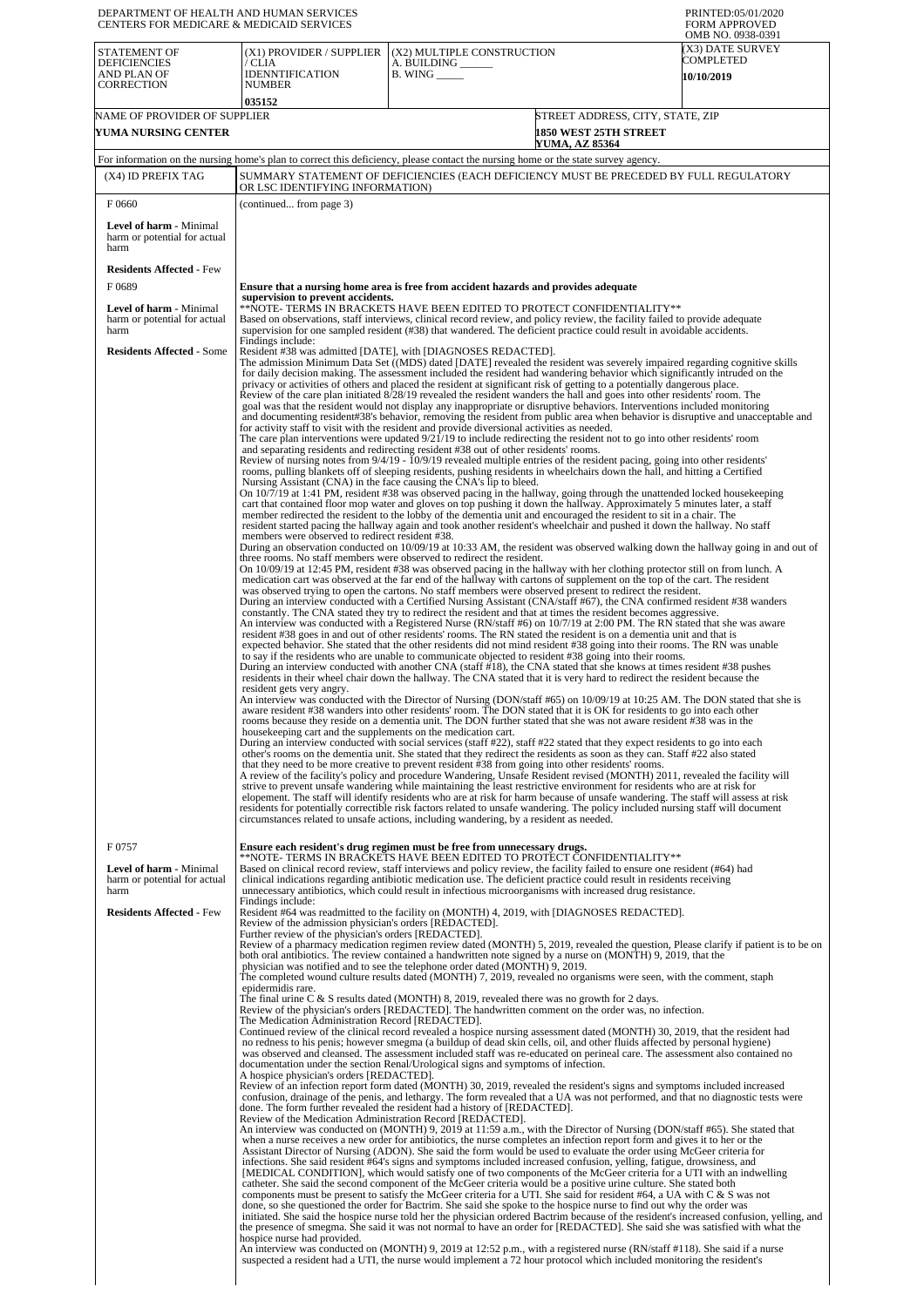| DEPARTMENT OF HEALTH AND HUMAN SERVICES<br>CENTERS FOR MEDICARE & MEDICAID SERVICES |                                                                                                                                               |                                                                                                                                                                                                                                                                                                                                                                                                                                                                                                                                                                                                                                                                                                                                                                                                                                                                                                                                                                                                                                                                                                                                                                                                                                                                                                                                                                                                                                                                                                                                                                                                                                                                                                                                                                                                                                                                                                                                                                                                                                                                                                                                                                                                                                                                                                                                                                                                                                                                                                                                                                                                                                                                                                                                                                                                                                                                                                                                                                                                                                                                                                                                                                                                                                                                                                                                                                                                                                                                                                                                                                                                                                                                                                                                                                                                                                                                                                                                                                                                                                                                                                                                                                                                                                                                                                                                                                                                                                                                                                                                                                                                                                                                                                                                   | PRINTED:05/01/2020<br><b>FORM APPROVED</b><br>OMB NO. 0938-0391                                                                                                                                                                                                    |
|-------------------------------------------------------------------------------------|-----------------------------------------------------------------------------------------------------------------------------------------------|-----------------------------------------------------------------------------------------------------------------------------------------------------------------------------------------------------------------------------------------------------------------------------------------------------------------------------------------------------------------------------------------------------------------------------------------------------------------------------------------------------------------------------------------------------------------------------------------------------------------------------------------------------------------------------------------------------------------------------------------------------------------------------------------------------------------------------------------------------------------------------------------------------------------------------------------------------------------------------------------------------------------------------------------------------------------------------------------------------------------------------------------------------------------------------------------------------------------------------------------------------------------------------------------------------------------------------------------------------------------------------------------------------------------------------------------------------------------------------------------------------------------------------------------------------------------------------------------------------------------------------------------------------------------------------------------------------------------------------------------------------------------------------------------------------------------------------------------------------------------------------------------------------------------------------------------------------------------------------------------------------------------------------------------------------------------------------------------------------------------------------------------------------------------------------------------------------------------------------------------------------------------------------------------------------------------------------------------------------------------------------------------------------------------------------------------------------------------------------------------------------------------------------------------------------------------------------------------------------------------------------------------------------------------------------------------------------------------------------------------------------------------------------------------------------------------------------------------------------------------------------------------------------------------------------------------------------------------------------------------------------------------------------------------------------------------------------------------------------------------------------------------------------------------------------------------------------------------------------------------------------------------------------------------------------------------------------------------------------------------------------------------------------------------------------------------------------------------------------------------------------------------------------------------------------------------------------------------------------------------------------------------------------------------------------------------------------------------------------------------------------------------------------------------------------------------------------------------------------------------------------------------------------------------------------------------------------------------------------------------------------------------------------------------------------------------------------------------------------------------------------------------------------------------------------------------------------------------------------------------------------------------------------------------------------------------------------------------------------------------------------------------------------------------------------------------------------------------------------------------------------------------------------------------------------------------------------------------------------------------------------------------------------------------------------------------------------------------------------------|--------------------------------------------------------------------------------------------------------------------------------------------------------------------------------------------------------------------------------------------------------------------|
| <b>STATEMENT OF</b><br><b>DEFICIENCIES</b><br>AND PLAN OF<br><b>CORRECTION</b>      | (X1) PROVIDER / SUPPLIER<br>/ CLIA<br><b>IDENNTIFICATION</b><br>NUMBER<br>035152                                                              | (X2) MULTIPLE CONSTRUCTION<br>A. BUILDING _<br><b>B. WING</b>                                                                                                                                                                                                                                                                                                                                                                                                                                                                                                                                                                                                                                                                                                                                                                                                                                                                                                                                                                                                                                                                                                                                                                                                                                                                                                                                                                                                                                                                                                                                                                                                                                                                                                                                                                                                                                                                                                                                                                                                                                                                                                                                                                                                                                                                                                                                                                                                                                                                                                                                                                                                                                                                                                                                                                                                                                                                                                                                                                                                                                                                                                                                                                                                                                                                                                                                                                                                                                                                                                                                                                                                                                                                                                                                                                                                                                                                                                                                                                                                                                                                                                                                                                                                                                                                                                                                                                                                                                                                                                                                                                                                                                                                     | (X3) DATE SURVEY<br>COMPLETED<br><b>10/10/2019</b>                                                                                                                                                                                                                 |
| NAME OF PROVIDER OF SUPPLIER                                                        |                                                                                                                                               |                                                                                                                                                                                                                                                                                                                                                                                                                                                                                                                                                                                                                                                                                                                                                                                                                                                                                                                                                                                                                                                                                                                                                                                                                                                                                                                                                                                                                                                                                                                                                                                                                                                                                                                                                                                                                                                                                                                                                                                                                                                                                                                                                                                                                                                                                                                                                                                                                                                                                                                                                                                                                                                                                                                                                                                                                                                                                                                                                                                                                                                                                                                                                                                                                                                                                                                                                                                                                                                                                                                                                                                                                                                                                                                                                                                                                                                                                                                                                                                                                                                                                                                                                                                                                                                                                                                                                                                                                                                                                                                                                                                                                                                                                                                                   | STREET ADDRESS, CITY, STATE, ZIP                                                                                                                                                                                                                                   |
| YUMA NURSING CENTER                                                                 |                                                                                                                                               | YUMA, AZ 85364                                                                                                                                                                                                                                                                                                                                                                                                                                                                                                                                                                                                                                                                                                                                                                                                                                                                                                                                                                                                                                                                                                                                                                                                                                                                                                                                                                                                                                                                                                                                                                                                                                                                                                                                                                                                                                                                                                                                                                                                                                                                                                                                                                                                                                                                                                                                                                                                                                                                                                                                                                                                                                                                                                                                                                                                                                                                                                                                                                                                                                                                                                                                                                                                                                                                                                                                                                                                                                                                                                                                                                                                                                                                                                                                                                                                                                                                                                                                                                                                                                                                                                                                                                                                                                                                                                                                                                                                                                                                                                                                                                                                                                                                                                                    | <b>1850 WEST 25TH STREET</b>                                                                                                                                                                                                                                       |
|                                                                                     |                                                                                                                                               | For information on the nursing home's plan to correct this deficiency, please contact the nursing home or the state survey agency.                                                                                                                                                                                                                                                                                                                                                                                                                                                                                                                                                                                                                                                                                                                                                                                                                                                                                                                                                                                                                                                                                                                                                                                                                                                                                                                                                                                                                                                                                                                                                                                                                                                                                                                                                                                                                                                                                                                                                                                                                                                                                                                                                                                                                                                                                                                                                                                                                                                                                                                                                                                                                                                                                                                                                                                                                                                                                                                                                                                                                                                                                                                                                                                                                                                                                                                                                                                                                                                                                                                                                                                                                                                                                                                                                                                                                                                                                                                                                                                                                                                                                                                                                                                                                                                                                                                                                                                                                                                                                                                                                                                                |                                                                                                                                                                                                                                                                    |
| (X4) ID PREFIX TAG                                                                  | OR LSC IDENTIFYING INFORMATION)                                                                                                               | SUMMARY STATEMENT OF DEFICIENCIES (EACH DEFICIENCY MUST BE PRECEDED BY FULL REGULATORY                                                                                                                                                                                                                                                                                                                                                                                                                                                                                                                                                                                                                                                                                                                                                                                                                                                                                                                                                                                                                                                                                                                                                                                                                                                                                                                                                                                                                                                                                                                                                                                                                                                                                                                                                                                                                                                                                                                                                                                                                                                                                                                                                                                                                                                                                                                                                                                                                                                                                                                                                                                                                                                                                                                                                                                                                                                                                                                                                                                                                                                                                                                                                                                                                                                                                                                                                                                                                                                                                                                                                                                                                                                                                                                                                                                                                                                                                                                                                                                                                                                                                                                                                                                                                                                                                                                                                                                                                                                                                                                                                                                                                                            |                                                                                                                                                                                                                                                                    |
| F 0660                                                                              | (continued from page 3)                                                                                                                       |                                                                                                                                                                                                                                                                                                                                                                                                                                                                                                                                                                                                                                                                                                                                                                                                                                                                                                                                                                                                                                                                                                                                                                                                                                                                                                                                                                                                                                                                                                                                                                                                                                                                                                                                                                                                                                                                                                                                                                                                                                                                                                                                                                                                                                                                                                                                                                                                                                                                                                                                                                                                                                                                                                                                                                                                                                                                                                                                                                                                                                                                                                                                                                                                                                                                                                                                                                                                                                                                                                                                                                                                                                                                                                                                                                                                                                                                                                                                                                                                                                                                                                                                                                                                                                                                                                                                                                                                                                                                                                                                                                                                                                                                                                                                   |                                                                                                                                                                                                                                                                    |
| Level of harm - Minimal<br>harm or potential for actual<br>harm                     |                                                                                                                                               |                                                                                                                                                                                                                                                                                                                                                                                                                                                                                                                                                                                                                                                                                                                                                                                                                                                                                                                                                                                                                                                                                                                                                                                                                                                                                                                                                                                                                                                                                                                                                                                                                                                                                                                                                                                                                                                                                                                                                                                                                                                                                                                                                                                                                                                                                                                                                                                                                                                                                                                                                                                                                                                                                                                                                                                                                                                                                                                                                                                                                                                                                                                                                                                                                                                                                                                                                                                                                                                                                                                                                                                                                                                                                                                                                                                                                                                                                                                                                                                                                                                                                                                                                                                                                                                                                                                                                                                                                                                                                                                                                                                                                                                                                                                                   |                                                                                                                                                                                                                                                                    |
| <b>Residents Affected - Few</b>                                                     |                                                                                                                                               |                                                                                                                                                                                                                                                                                                                                                                                                                                                                                                                                                                                                                                                                                                                                                                                                                                                                                                                                                                                                                                                                                                                                                                                                                                                                                                                                                                                                                                                                                                                                                                                                                                                                                                                                                                                                                                                                                                                                                                                                                                                                                                                                                                                                                                                                                                                                                                                                                                                                                                                                                                                                                                                                                                                                                                                                                                                                                                                                                                                                                                                                                                                                                                                                                                                                                                                                                                                                                                                                                                                                                                                                                                                                                                                                                                                                                                                                                                                                                                                                                                                                                                                                                                                                                                                                                                                                                                                                                                                                                                                                                                                                                                                                                                                                   |                                                                                                                                                                                                                                                                    |
| F0689                                                                               | supervision to prevent accidents.                                                                                                             | Ensure that a nursing home area is free from accident hazards and provides adequate                                                                                                                                                                                                                                                                                                                                                                                                                                                                                                                                                                                                                                                                                                                                                                                                                                                                                                                                                                                                                                                                                                                                                                                                                                                                                                                                                                                                                                                                                                                                                                                                                                                                                                                                                                                                                                                                                                                                                                                                                                                                                                                                                                                                                                                                                                                                                                                                                                                                                                                                                                                                                                                                                                                                                                                                                                                                                                                                                                                                                                                                                                                                                                                                                                                                                                                                                                                                                                                                                                                                                                                                                                                                                                                                                                                                                                                                                                                                                                                                                                                                                                                                                                                                                                                                                                                                                                                                                                                                                                                                                                                                                                               |                                                                                                                                                                                                                                                                    |
| Level of harm - Minimal<br>harm or potential for actual<br>harm                     | Findings include:                                                                                                                             | **NOTE- TERMS IN BRACKETS HAVE BEEN EDITED TO PROTECT CONFIDENTIALITY**<br>Based on observations, staff interviews, clinical record review, and policy review, the facility failed to provide adequate<br>supervision for one sampled resident (#38) that wandered. The deficient practice could result in avoidable accidents.                                                                                                                                                                                                                                                                                                                                                                                                                                                                                                                                                                                                                                                                                                                                                                                                                                                                                                                                                                                                                                                                                                                                                                                                                                                                                                                                                                                                                                                                                                                                                                                                                                                                                                                                                                                                                                                                                                                                                                                                                                                                                                                                                                                                                                                                                                                                                                                                                                                                                                                                                                                                                                                                                                                                                                                                                                                                                                                                                                                                                                                                                                                                                                                                                                                                                                                                                                                                                                                                                                                                                                                                                                                                                                                                                                                                                                                                                                                                                                                                                                                                                                                                                                                                                                                                                                                                                                                                   |                                                                                                                                                                                                                                                                    |
| <b>Residents Affected - Some</b>                                                    | members were observed to redirect resident #38.<br>resident gets very angry.<br>housekeeping cart and the supplements on the medication cart. | Resident #38 was admitted [DATE], with [DIAGNOSES REDACTED].<br>The admission Minimum Data Set ((MDS) dated [DATE] revealed the resident was severely impaired regarding cognitive skills<br>for daily decision making. The assessment included the resident had wandering behavior which significantly intruded on the<br>privacy or activities of others and placed the resident at significant risk of getting to a potentially dangerous place.<br>Review of the care plan initiated 8/28/19 revealed the resident wanders the hall and goes into other residents' room. The<br>goal was that the resident would not display any inappropriate or disruptive behaviors. Interventions included monitoring<br>for activity staff to visit with the resident and provide diversional activities as needed.<br>The care plan interventions were updated $9/21/19$ to include redirecting the resident not to go into other residents' room<br>and separating residents and redirecting resident #38 out of other residents' rooms.<br>Review of nursing notes from $9/4/19 - 10/9/19$ revealed multiple entries of the resident pacing, going into other residents'<br>rooms, pulling blankets off of sleeping residents, pushing residents in wheelchairs down the hall, and hitting a Certified<br>Nursing Assistant (CNA) in the face causing the CNA's lip to bleed.<br>On 10/7/19 at 1:41 PM, resident #38 was observed pacing in the hallway, going through the unattended locked housekeeping<br>cart that contained floor mop water and gloves on top pushing it down the hallway. Approximately 5 minutes later, a staff<br>member redirected the resident to the lobby of the dementia unit and encouraged the resident to sit in a chair. The<br>resident started pacing the hallway again and took another resident's wheelchair and pushed it down the hallway. No staff<br>three rooms. No staff members were observed to redirect the resident.<br>On 10/09/19 at 12:45 PM, resident #38 was observed pacing in the hallway with her clothing protector still on from lunch. A<br>medication cart was observed at the far end of the hallway with cartons of supplement on the top of the cart. The resident<br>was observed trying to open the cartons. No staff members were observed present to redirect the resident.<br>During an interview conducted with a Certified Nursing Assistant (CNA/staff #67), the CNA confirmed resident #38 wanders<br>constantly. The CNA stated they try to redirect the resident and that at times the resident becomes aggressive.<br>An interview was conducted with a Registered Nurse (RN/staff #6) on 10/7/19 at 2:00 PM. The RN stated that she was aware<br>resident #38 goes in and out of other residents' rooms. The RN stated the resident is on a dementia unit and that is<br>expected behavior. She stated that the other residents did not mind resident #38 going into their rooms. The RN was unable<br>to say if the residents who are unable to communicate objected to resident #38 going into their rooms.<br>During an interview conducted with another CNA (staff $\#18$ ), the CNA stated that she knows at times resident $#38$ pushes<br>residents in their wheel chair down the hallway. The CNA stated that it is very hard to redirect the resident because the<br>An interview was conducted with the Director of Nursing (DON/staff #65) on 10/09/19 at 10:25 AM. The DON stated that she is<br>aware resident #38 wanders into other residents' room. The DON stated that it is OK for residents to go into each other<br>rooms because they reside on a dementia unit. The DON further stated that she was not aware resident #38 was in the<br>During an interview conducted with social services (staff #22), staff #22 stated that they expect residents to go into each<br>other's rooms on the dementia unit. She stated that they redirect the residents as soon as they can. Staff #22 also stated<br>that they need to be more creative to prevent resident #38 from going into other residents' rooms.<br>A review of the facility's policy and procedure Wandering, Unsafe Resident revised (MONTH) 2011, revealed the facility will<br>strive to prevent unsafe wandering while maintaining the least restrictive environment for residents who are at risk for<br>elopement. The staff will identify residents who are at risk for harm because of unsafe wandering. The staff will assess at risk<br>residents for potentially correctible risk factors related to unsafe wandering. The policy included nursing staff will document<br>circumstances related to unsafe actions, including wandering, by a resident as needed. | and documenting resident#38's behavior, removing the resident from public area when behavior is disruptive and unacceptable and<br>During an observation conducted on 10/09/19 at 10:33 AM, the resident was observed walking down the hallway going in and out of |
| F0757<br>Level of harm - Minimal<br>harm or potential for actual<br>harm            |                                                                                                                                               | Ensure each resident's drug regimen must be free from unnecessary drugs.<br>**NOTE- TERMS IN BRAČKETS HAVE BEEN EDITED TO PROTECT CONFIDENTIALITY**<br>Based on clinical record review, staff interviews and policy review, the facility failed to ensure one resident (#64) had<br>clinical indications regarding antibiotic medication use. The deficient practice could result in residents receiving<br>unnecessary antibiotics, which could result in infectious microorganisms with increased drug resistance.                                                                                                                                                                                                                                                                                                                                                                                                                                                                                                                                                                                                                                                                                                                                                                                                                                                                                                                                                                                                                                                                                                                                                                                                                                                                                                                                                                                                                                                                                                                                                                                                                                                                                                                                                                                                                                                                                                                                                                                                                                                                                                                                                                                                                                                                                                                                                                                                                                                                                                                                                                                                                                                                                                                                                                                                                                                                                                                                                                                                                                                                                                                                                                                                                                                                                                                                                                                                                                                                                                                                                                                                                                                                                                                                                                                                                                                                                                                                                                                                                                                                                                                                                                                                              |                                                                                                                                                                                                                                                                    |
| <b>Residents Affected - Few</b>                                                     | Findings include:<br>Review of the admission physician's orders [REDACTED].<br>Further review of the physician's orders [REDACTED].           | Resident #64 was readmitted to the facility on (MONTH) 4, 2019, with [DIAGNOSES REDACTED].                                                                                                                                                                                                                                                                                                                                                                                                                                                                                                                                                                                                                                                                                                                                                                                                                                                                                                                                                                                                                                                                                                                                                                                                                                                                                                                                                                                                                                                                                                                                                                                                                                                                                                                                                                                                                                                                                                                                                                                                                                                                                                                                                                                                                                                                                                                                                                                                                                                                                                                                                                                                                                                                                                                                                                                                                                                                                                                                                                                                                                                                                                                                                                                                                                                                                                                                                                                                                                                                                                                                                                                                                                                                                                                                                                                                                                                                                                                                                                                                                                                                                                                                                                                                                                                                                                                                                                                                                                                                                                                                                                                                                                        |                                                                                                                                                                                                                                                                    |
|                                                                                     |                                                                                                                                               | both oral antibiotics. The review contained a handwritten note signed by a nurse on (MONTH) 9, 2019, that the<br>physician was notified and to see the telephone order dated (MONTH) 9, 2019.<br>The completed wound culture results dated (MONTH) 7, 2019, revealed no organisms were seen, with the comment, staph                                                                                                                                                                                                                                                                                                                                                                                                                                                                                                                                                                                                                                                                                                                                                                                                                                                                                                                                                                                                                                                                                                                                                                                                                                                                                                                                                                                                                                                                                                                                                                                                                                                                                                                                                                                                                                                                                                                                                                                                                                                                                                                                                                                                                                                                                                                                                                                                                                                                                                                                                                                                                                                                                                                                                                                                                                                                                                                                                                                                                                                                                                                                                                                                                                                                                                                                                                                                                                                                                                                                                                                                                                                                                                                                                                                                                                                                                                                                                                                                                                                                                                                                                                                                                                                                                                                                                                                                              | Review of a pharmacy medication regimen review dated (MONTH) 5, 2019, revealed the question, Please clarify if patient is to be on                                                                                                                                 |
|                                                                                     | epidermidis rare.                                                                                                                             | The final urine C & S results dated (MONTH) 8, 2019, revealed there was no growth for 2 days.<br>Review of the physician's orders [REDACTED]. The handwritten comment on the order was, no infection.                                                                                                                                                                                                                                                                                                                                                                                                                                                                                                                                                                                                                                                                                                                                                                                                                                                                                                                                                                                                                                                                                                                                                                                                                                                                                                                                                                                                                                                                                                                                                                                                                                                                                                                                                                                                                                                                                                                                                                                                                                                                                                                                                                                                                                                                                                                                                                                                                                                                                                                                                                                                                                                                                                                                                                                                                                                                                                                                                                                                                                                                                                                                                                                                                                                                                                                                                                                                                                                                                                                                                                                                                                                                                                                                                                                                                                                                                                                                                                                                                                                                                                                                                                                                                                                                                                                                                                                                                                                                                                                             |                                                                                                                                                                                                                                                                    |
|                                                                                     | The Medication Administration Record [REDACTED].                                                                                              | Continued review of the clinical record revealed a hospice nursing assessment dated (MONTH) 30, 2019, that the resident had<br>no redness to his penis; however smegma (a buildup of dead skin cells, oil, and other fluids affected by personal hygiene)<br>was observed and cleansed. The assessment included staff was re-educated on perineal care. The assessment also contained no<br>documentation under the section Renal/Urological signs and symptoms of infection.                                                                                                                                                                                                                                                                                                                                                                                                                                                                                                                                                                                                                                                                                                                                                                                                                                                                                                                                                                                                                                                                                                                                                                                                                                                                                                                                                                                                                                                                                                                                                                                                                                                                                                                                                                                                                                                                                                                                                                                                                                                                                                                                                                                                                                                                                                                                                                                                                                                                                                                                                                                                                                                                                                                                                                                                                                                                                                                                                                                                                                                                                                                                                                                                                                                                                                                                                                                                                                                                                                                                                                                                                                                                                                                                                                                                                                                                                                                                                                                                                                                                                                                                                                                                                                                     |                                                                                                                                                                                                                                                                    |
|                                                                                     | A hospice physician's orders [REDACTED].<br>Review of the Medication Administration Record [REDACTED].<br>hospice nurse had provided.         | Review of an infection report form dated (MONTH) 30, 2019, revealed the resident's signs and symptoms included increased<br>confusion, drainage of the penis, and lethargy. The form revealed that a UA was not performed, and that no diagnostic tests were<br>done. The form further revealed the resident had a history of [REDACTED].<br>An interview was conducted on (MONTH) 9, 2019 at 11:59 a.m., with the Director of Nursing (DON/staff #65). She stated that<br>when a nurse receives a new order for antibiotics, the nurse completes an infection report form and gives it to her or the<br>Assistant Director of Nursing (ADON). She said the form would be used to evaluate the order using McGeer criteria for<br>infections. She said resident #64's signs and symptoms included increased confusion, yelling, fatigue, drowsiness, and<br>[MEDICAL CONDITION], which would satisfy one of two components of the McGeer criteria for a UTI with an indwelling<br>catheter. She said the second component of the McGeer criteria would be a positive urine culture. She stated both<br>components must be present to satisfy the McGeer criteria for a UTI. She said for resident #64, a UA with C & S was not<br>done, so she questioned the order for Bactrim. She said she spoke to the hospice nurse to find out why the order was<br>the presence of smegma. She said it was not normal to have an order for [REDACTED]. She said she was satisfied with what the<br>An interview was conducted on (MONTH) 9, 2019 at 12:52 p.m., with a registered nurse (RN/staff #118). She said if a nurse<br>suspected a resident had a UTI, the nurse would implement a 72 hour protocol which included monitoring the resident's                                                                                                                                                                                                                                                                                                                                                                                                                                                                                                                                                                                                                                                                                                                                                                                                                                                                                                                                                                                                                                                                                                                                                                                                                                                                                                                                                                                                                                                                                                                                                                                                                                                                                                                                                                                                                                                                                                                                                                                                                                                                                                                                                                                                                                                                                                                                                                                                                                                                                                                                                                                                                                                                                                                                                                                                                                                                                                                                                                                      | initiated. She said the hospice nurse told her the physician ordered Bactrim because of the resident's increased confusion, yelling, and                                                                                                                           |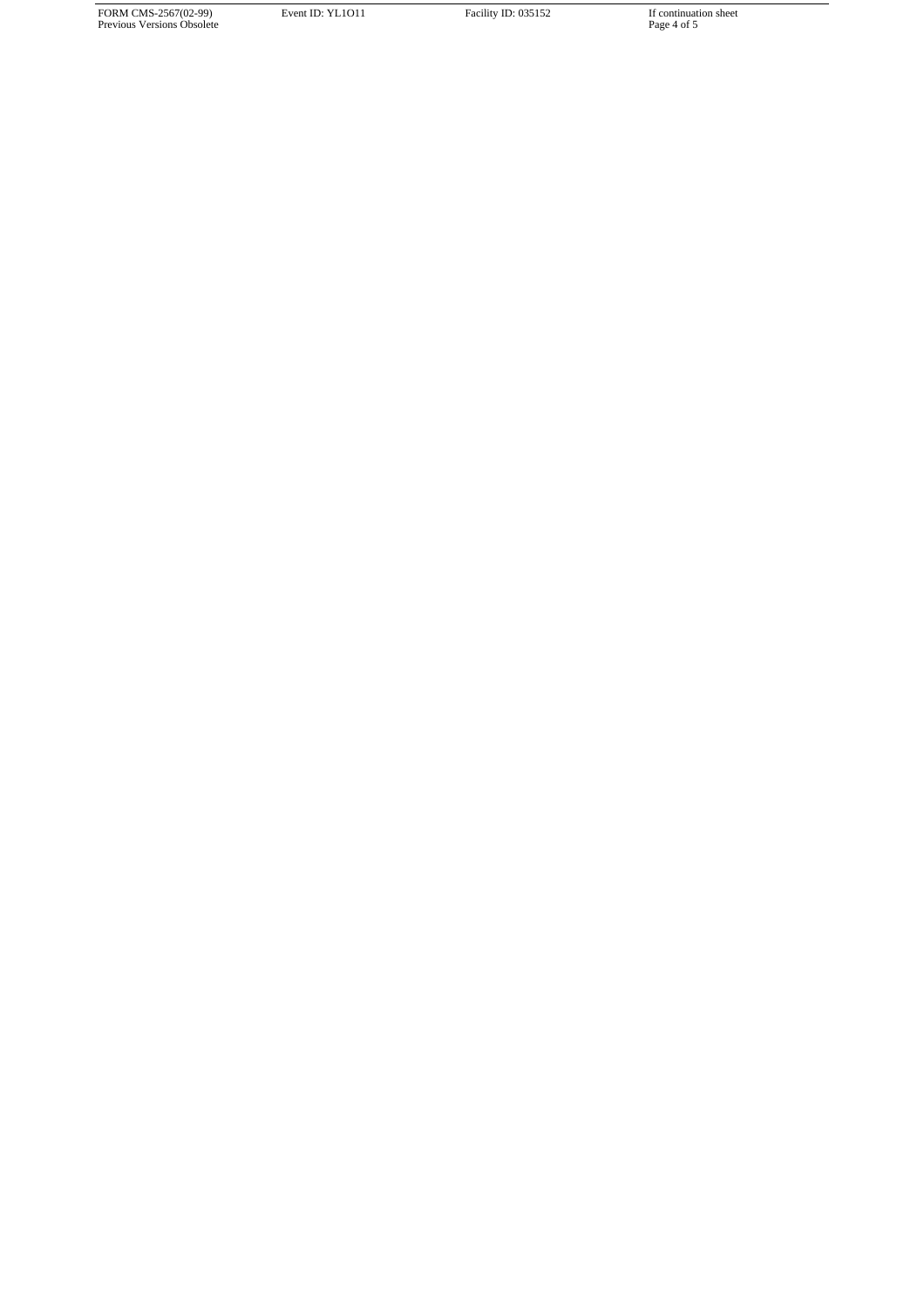FORM CMS-2567(02-99) Previous Versions Obsolete

Event ID: YL1O11 Facility ID: 035152 If continuation sheet<br>Page 4 of 5